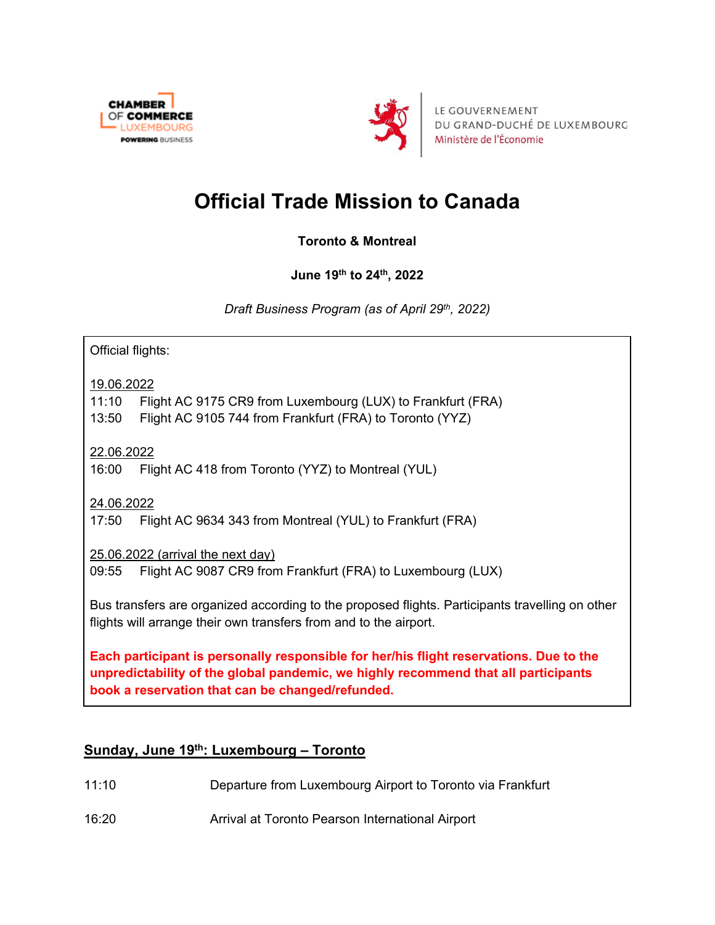



LE GOUVERNEMENT DU GRAND-DUCHÉ DE LUXEMBOURG Ministère de l'Économie

# **Official Trade Mission to Canada**

**Toronto & Montreal**

**June 19th to 24th, 2022** 

*Draft Business Program (as of April 29th, 2022)*

Official flights:

19.06.2022

11:10 Flight AC 9175 CR9 from Luxembourg (LUX) to Frankfurt (FRA)

13:50 Flight AC 9105 744 from Frankfurt (FRA) to Toronto (YYZ)

22.06.2022

16:00 Flight AC 418 from Toronto (YYZ) to Montreal (YUL)

24.06.2022

17:50 Flight AC 9634 343 from Montreal (YUL) to Frankfurt (FRA)

25.06.2022 (arrival the next day)

09:55 Flight AC 9087 CR9 from Frankfurt (FRA) to Luxembourg (LUX)

Bus transfers are organized according to the proposed flights. Participants travelling on other flights will arrange their own transfers from and to the airport.

**Each participant is personally responsible for her/his flight reservations. Due to the unpredictability of the global pandemic, we highly recommend that all participants book a reservation that can be changed/refunded.**

## **Sunday, June 19th: Luxembourg – Toronto**

- 11:10 Departure from Luxembourg Airport to Toronto via Frankfurt
- 16:20 Arrival at Toronto Pearson International Airport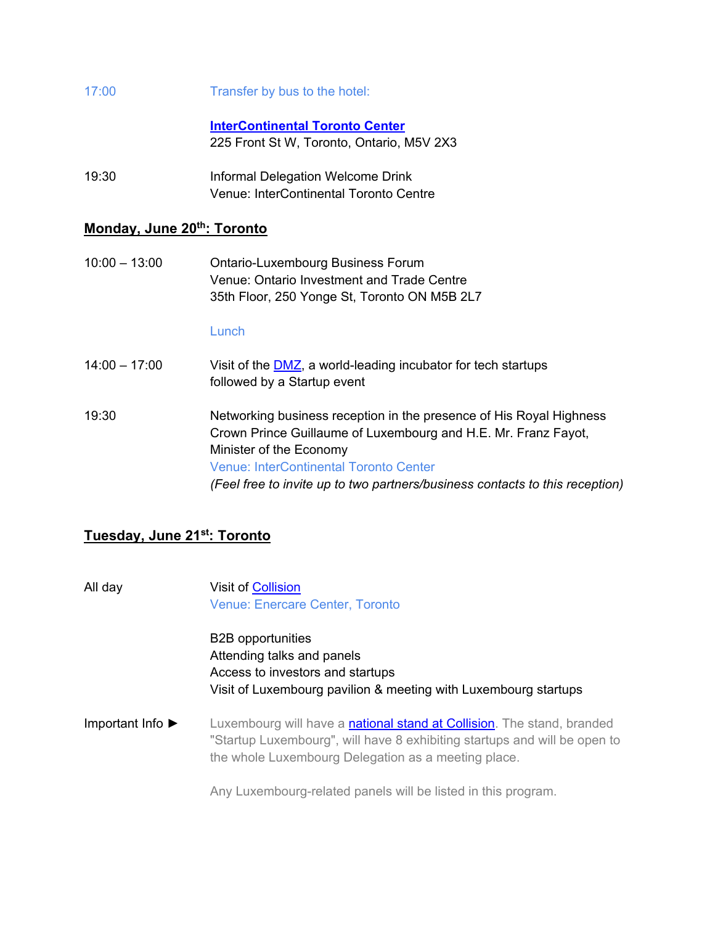#### 17:00 Transfer by bus to the hotel:

**[InterContinental Toronto Center](https://www.torontocentre.intercontinental.com/)** 225 Front St W, Toronto, Ontario, M5V 2X3

19:30 Informal Delegation Welcome Drink Venue: InterContinental Toronto Centre

#### **Monday, June 20th: Toronto**

10:00 – 13:00 Ontario-Luxembourg Business Forum Venue: Ontario Investment and Trade Centre 35th Floor, 250 Yonge St, Toronto ON M5B 2L7

#### **Lunch**

14:00 – 17:00 Visit of the  $\underline{\text{DMZ}}$ , a world-leading incubator for tech startups followed by a Startup event

19:30 Networking business reception in the presence of His Royal Highness Crown Prince Guillaume of Luxembourg and H.E. Mr. Franz Fayot, Minister of the Economy Venue: InterContinental Toronto Center *(Feel free to invite up to two partners/business contacts to this reception)*

### **Tuesday, June 21st: Toronto**

All day Visit of [Collision](https://collisionconf.com/) Venue: Enercare Center, Toronto

> B2B opportunities Attending talks and panels Access to investors and startups Visit of Luxembourg pavilion & meeting with Luxembourg startups

Important Info ► Luxembourg will have a [national stand at Collision.](https://www.startupluxembourg.com/collision-2022-national-pavillion?utm_medium=email&_hsenc=p2ANqtz-_lWZ0pol-blPkNqhXxQwBTTemfDjR-FPYLr6TVCzFIk2Orl5WZoiVB3YpmZYb8SpkC4pWyGjKsB176VTI-gQPBksZeEQ&_hsmi=207246986&utm_content=207246986&utm_source=hs_email&hsCtaTracking=9cb303ba-2af1-416b-afcf-9eedcc58b012%7C4960d5b3-709c-48b4-8bc1-d3183535349a) The stand, branded "Startup Luxembourg", will have 8 exhibiting startups and will be open to the whole Luxembourg Delegation as a meeting place.

Any Luxembourg-related panels will be listed in this program.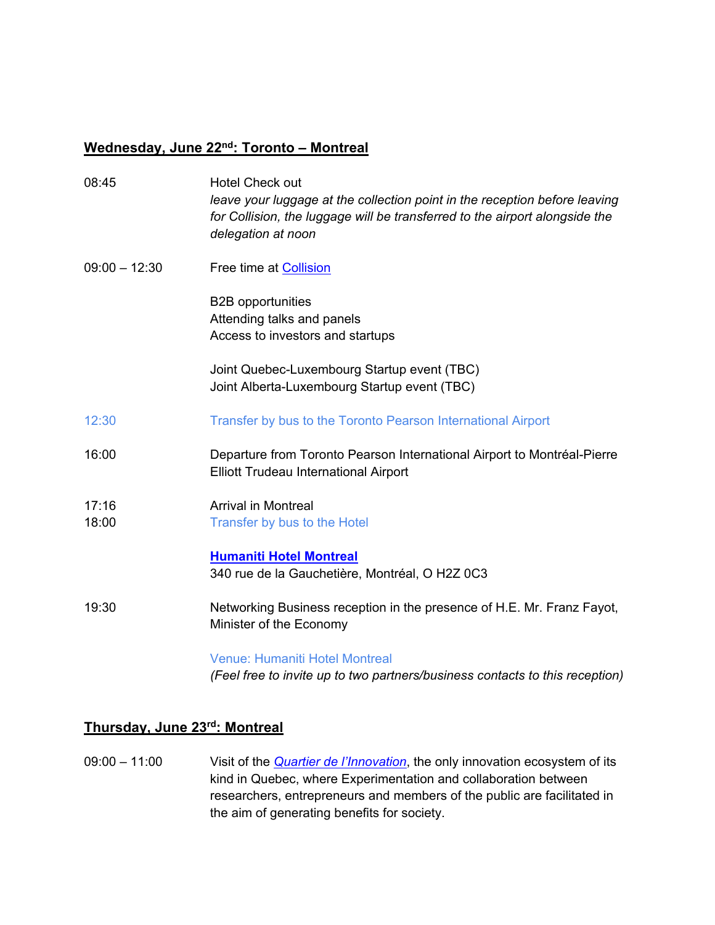### **Wednesday, June 22nd: Toronto – Montreal**

| 08:45           | <b>Hotel Check out</b><br>leave your luggage at the collection point in the reception before leaving<br>for Collision, the luggage will be transferred to the airport alongside the<br>delegation at noon |
|-----------------|-----------------------------------------------------------------------------------------------------------------------------------------------------------------------------------------------------------|
| $09:00 - 12:30$ | Free time at Collision                                                                                                                                                                                    |
|                 | <b>B2B</b> opportunities<br>Attending talks and panels<br>Access to investors and startups                                                                                                                |
|                 | Joint Quebec-Luxembourg Startup event (TBC)<br>Joint Alberta-Luxembourg Startup event (TBC)                                                                                                               |
| 12:30           | Transfer by bus to the Toronto Pearson International Airport                                                                                                                                              |
| 16:00           | Departure from Toronto Pearson International Airport to Montréal-Pierre<br><b>Elliott Trudeau International Airport</b>                                                                                   |
| 17:16<br>18:00  | <b>Arrival in Montreal</b><br>Transfer by bus to the Hotel                                                                                                                                                |
|                 | <b>Humaniti Hotel Montreal</b><br>340 rue de la Gauchetière, Montréal, O H2Z 0C3                                                                                                                          |
| 19:30           | Networking Business reception in the presence of H.E. Mr. Franz Fayot,<br>Minister of the Economy                                                                                                         |
|                 | <b>Venue: Humaniti Hotel Montreal</b><br>(Feel free to invite up to two partners/business contacts to this reception)                                                                                     |

### **Thursday, June 23rd: Montreal**

09:00 – 11:00 Visit of the *[Quartier de l'Innovation](https://quartierinnovationmontreal.com/en/)*, the only innovation ecosystem of its kind in Quebec, where Experimentation and collaboration between researchers, entrepreneurs and members of the public are facilitated in the aim of generating benefits for society.